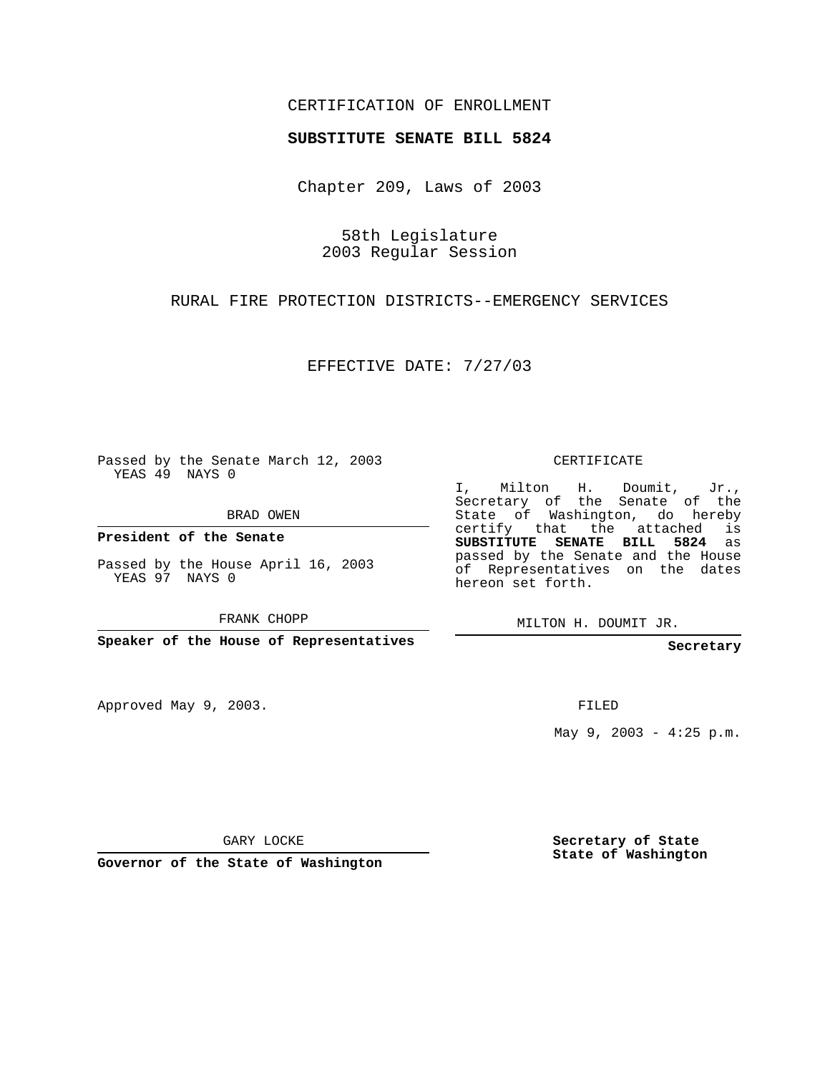## CERTIFICATION OF ENROLLMENT

## **SUBSTITUTE SENATE BILL 5824**

Chapter 209, Laws of 2003

58th Legislature 2003 Regular Session

RURAL FIRE PROTECTION DISTRICTS--EMERGENCY SERVICES

EFFECTIVE DATE: 7/27/03

Passed by the Senate March 12, 2003 YEAS 49 NAYS 0

BRAD OWEN

**President of the Senate**

Passed by the House April 16, 2003 YEAS 97 NAYS 0

FRANK CHOPP

**Speaker of the House of Representatives**

Approved May 9, 2003.

CERTIFICATE

I, Milton H. Doumit, Jr., Secretary of the Senate of the State of Washington, do hereby certify that the attached is **SUBSTITUTE SENATE BILL 5824** as passed by the Senate and the House of Representatives on the dates hereon set forth.

MILTON H. DOUMIT JR.

**Secretary**

FILED

May  $9, 2003 - 4:25 p.m.$ 

GARY LOCKE

**Governor of the State of Washington**

**Secretary of State State of Washington**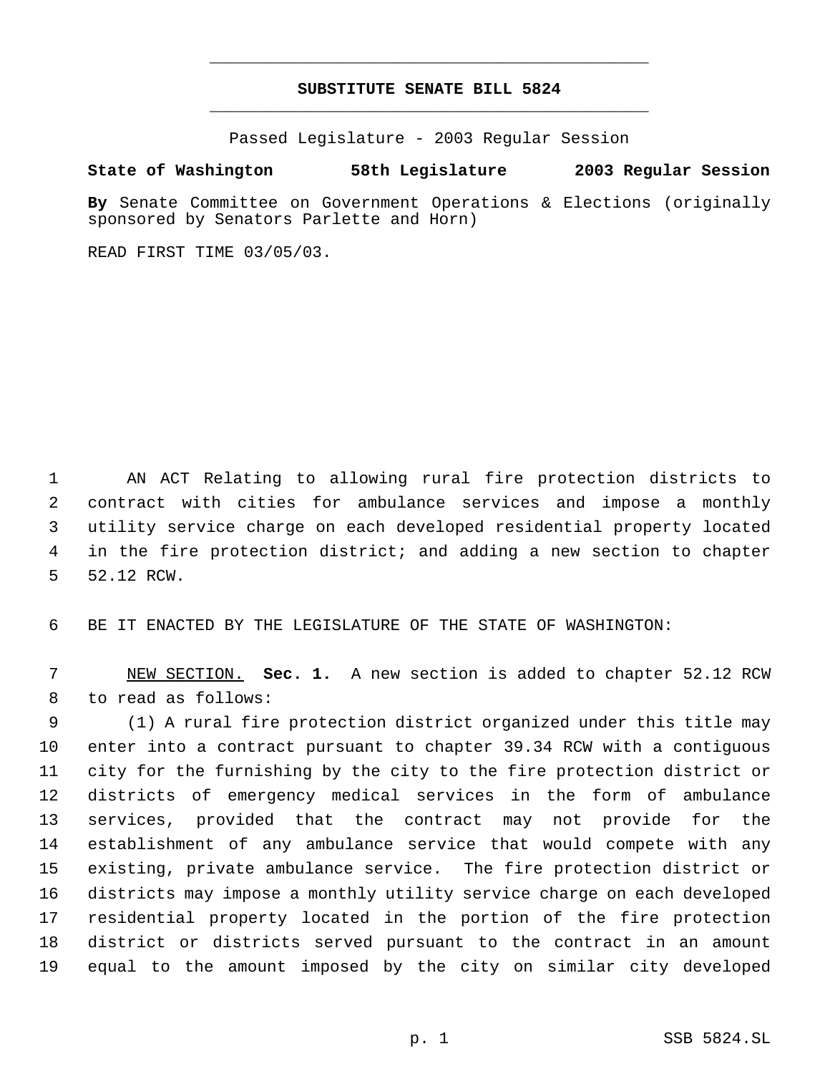## **SUBSTITUTE SENATE BILL 5824** \_\_\_\_\_\_\_\_\_\_\_\_\_\_\_\_\_\_\_\_\_\_\_\_\_\_\_\_\_\_\_\_\_\_\_\_\_\_\_\_\_\_\_\_\_

\_\_\_\_\_\_\_\_\_\_\_\_\_\_\_\_\_\_\_\_\_\_\_\_\_\_\_\_\_\_\_\_\_\_\_\_\_\_\_\_\_\_\_\_\_

Passed Legislature - 2003 Regular Session

## **State of Washington 58th Legislature 2003 Regular Session**

**By** Senate Committee on Government Operations & Elections (originally sponsored by Senators Parlette and Horn)

READ FIRST TIME 03/05/03.

 AN ACT Relating to allowing rural fire protection districts to contract with cities for ambulance services and impose a monthly utility service charge on each developed residential property located in the fire protection district; and adding a new section to chapter 52.12 RCW.

BE IT ENACTED BY THE LEGISLATURE OF THE STATE OF WASHINGTON:

 NEW SECTION. **Sec. 1.** A new section is added to chapter 52.12 RCW to read as follows:

 (1) A rural fire protection district organized under this title may enter into a contract pursuant to chapter 39.34 RCW with a contiguous city for the furnishing by the city to the fire protection district or districts of emergency medical services in the form of ambulance services, provided that the contract may not provide for the establishment of any ambulance service that would compete with any existing, private ambulance service. The fire protection district or districts may impose a monthly utility service charge on each developed residential property located in the portion of the fire protection district or districts served pursuant to the contract in an amount equal to the amount imposed by the city on similar city developed